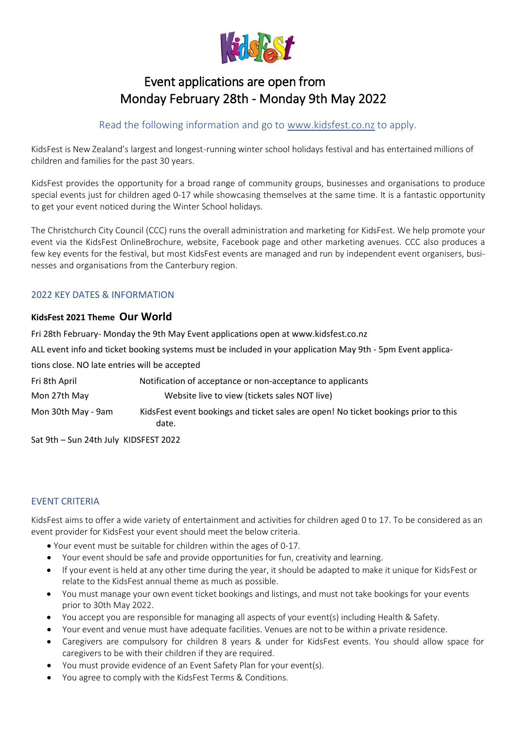

# Event applications are open from Monday February 28th - Monday 9th May 2022

## Read the following information and go to [www.kidsfest.co.nz](http://www.kidsfest.co.nz/) to apply.

KidsFest is New Zealand's largest and longest-running winter school holidays festival and has entertained millions of children and families for the past 30 years.

KidsFest provides the opportunity for a broad range of community groups, businesses and organisations to produce special events just for children aged 0-17 while showcasing themselves at the same time. It is a fantastic opportunity to get your event noticed during the Winter School holidays.

The Christchurch City Council (CCC) runs the overall administration and marketing for KidsFest. We help promote your event via the KidsFest OnlineBrochure, website, Facebook page and other marketing avenues. CCC also produces a few key events for the festival, but most KidsFest events are managed and run by independent event organisers, businesses and organisations from the Canterbury region.

## 2022 KEY DATES & INFORMATION

## **KidsFest 2021 Theme Our World**

Fri 28th February- Monday the 9th May Event applications open at www.kidsfest.co.nz

ALL event info and ticket booking systems must be included in your application May 9th - 5pm Event applica-

tions close. NO late entries will be accepted

| Fri 8th April      | Notification of acceptance or non-acceptance to applicants                                   |
|--------------------|----------------------------------------------------------------------------------------------|
| Mon 27th May       | Website live to view (tickets sales NOT live)                                                |
| Mon 30th May - 9am | KidsFest event bookings and ticket sales are open! No ticket bookings prior to this<br>date. |

Sat 9th – Sun 24th July KIDSFEST 2022

## EVENT CRITERIA

KidsFest aims to offer a wide variety of entertainment and activities for children aged 0 to 17. To be considered as an event provider for KidsFest your event should meet the below criteria.

- Your event must be suitable for children within the ages of 0-17.
- Your event should be safe and provide opportunities for fun, creativity and learning.
- If your event is held at any other time during the year, it should be adapted to make it unique for KidsFest or relate to the KidsFest annual theme as much as possible.
- You must manage your own event ticket bookings and listings, and must not take bookings for your events prior to 30th May 2022.
- You accept you are responsible for managing all aspects of your event(s) including Health & Safety.
- Your event and venue must have adequate facilities. Venues are not to be within a private residence.
- Caregivers are compulsory for children 8 years & under for KidsFest events. You should allow space for caregivers to be with their children if they are required.
- You must provide evidence of an Event Safety Plan for your event(s).
- You agree to comply with the KidsFest Terms & Conditions.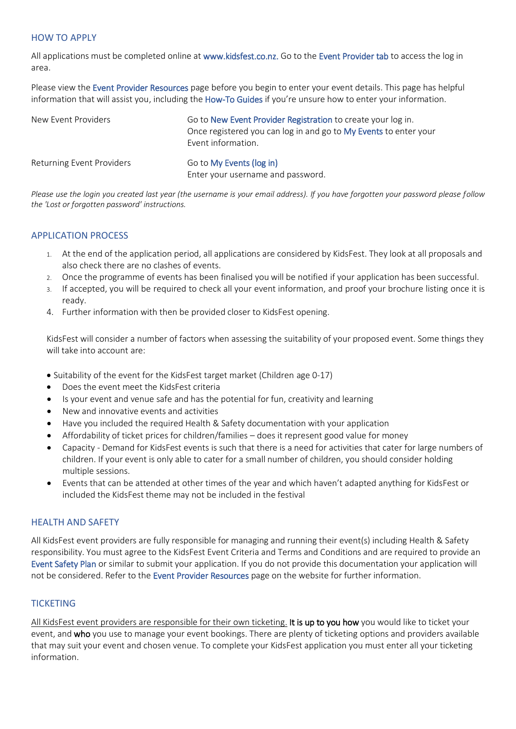#### HOW TO APPLY

All applications must be completed online at www.kidsfest.co.nz. Go to the Event Provider tab to access the log in area.

Please view the Event Provider Resources page before you begin to enter your event details. This page has helpful information that will assist you, including the How-To Guides if you're unsure how to enter your information.

| New Event Providers              | Go to New Event Provider Registration to create your log in.<br>Once registered you can log in and go to My Events to enter your<br>Event information. |
|----------------------------------|--------------------------------------------------------------------------------------------------------------------------------------------------------|
| <b>Returning Event Providers</b> | Go to My Events (log in)<br>Enter your username and password.                                                                                          |

*Please use the login you created last year (the username is your email address). If you have forgotten your password please follow the 'Lost or forgotten password' instructions.*

## APPLICATION PROCESS

- 1. At the end of the application period, all applications are considered by KidsFest. They look at all proposals and also check there are no clashes of events.
- 2. Once the programme of events has been finalised you will be notified if your application has been successful.
- 3. If accepted, you will be required to check all your event information, and proof your brochure listing once it is ready.
- 4. Further information with then be provided closer to KidsFest opening.

KidsFest will consider a number of factors when assessing the suitability of your proposed event. Some things they will take into account are:

- Suitability of the event for the KidsFest target market (Children age 0-17)
- Does the event meet the KidsFest criteria
- Is your event and venue safe and has the potential for fun, creativity and learning
- New and innovative events and activities
- Have you included the required Health & Safety documentation with your application
- Affordability of ticket prices for children/families does it represent good value for money
- Capacity Demand for KidsFest events is such that there is a need for activities that cater for large numbers of children. If your event is only able to cater for a small number of children, you should consider holding multiple sessions.
- Events that can be attended at other times of the year and which haven't adapted anything for KidsFest or included the KidsFest theme may not be included in the festival

#### HEALTH AND SAFETY

All KidsFest event providers are fully responsible for managing and running their event(s) including Health & Safety responsibility. You must agree to the KidsFest Event Criteria and Terms and Conditions and are required to provide an Event Safety Plan or similar to submit your application. If you do not provide this documentation your application will not be considered. Refer to the Event Provider Resources page on the website for further information.

## **TICKETING**

All KidsFest event providers are responsible for their own ticketing. It is up to you how you would like to ticket your event, and who you use to manage your event bookings. There are plenty of ticketing options and providers available that may suit your event and chosen venue. To complete your KidsFest application you must enter all your ticketing information.